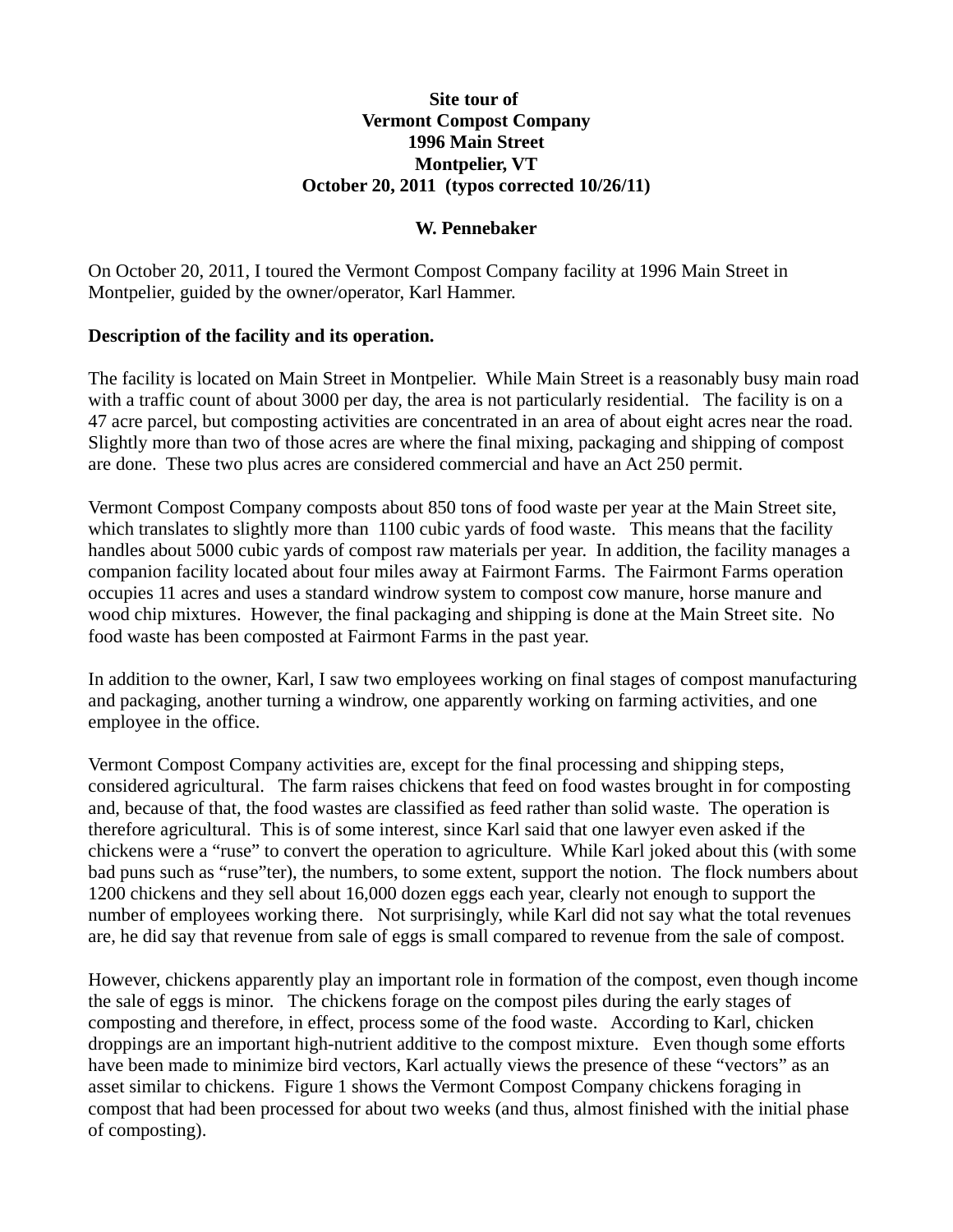### **Site tour of Vermont Compost Company 1996 Main Street Montpelier, VT October 20, 2011 (typos corrected 10/26/11)**

### **W. Pennebaker**

On October 20, 2011, I toured the Vermont Compost Company facility at 1996 Main Street in Montpelier, guided by the owner/operator, Karl Hammer.

## **Description of the facility and its operation.**

The facility is located on Main Street in Montpelier. While Main Street is a reasonably busy main road with a traffic count of about 3000 per day, the area is not particularly residential. The facility is on a 47 acre parcel, but composting activities are concentrated in an area of about eight acres near the road. Slightly more than two of those acres are where the final mixing, packaging and shipping of compost are done. These two plus acres are considered commercial and have an Act 250 permit.

Vermont Compost Company composts about 850 tons of food waste per year at the Main Street site, which translates to slightly more than 1100 cubic yards of food waste. This means that the facility handles about 5000 cubic yards of compost raw materials per year. In addition, the facility manages a companion facility located about four miles away at Fairmont Farms. The Fairmont Farms operation occupies 11 acres and uses a standard windrow system to compost cow manure, horse manure and wood chip mixtures. However, the final packaging and shipping is done at the Main Street site. No food waste has been composted at Fairmont Farms in the past year.

In addition to the owner, Karl, I saw two employees working on final stages of compost manufacturing and packaging, another turning a windrow, one apparently working on farming activities, and one employee in the office.

Vermont Compost Company activities are, except for the final processing and shipping steps, considered agricultural. The farm raises chickens that feed on food wastes brought in for composting and, because of that, the food wastes are classified as feed rather than solid waste. The operation is therefore agricultural. This is of some interest, since Karl said that one lawyer even asked if the chickens were a "ruse" to convert the operation to agriculture. While Karl joked about this (with some bad puns such as "ruse"ter), the numbers, to some extent, support the notion. The flock numbers about 1200 chickens and they sell about 16,000 dozen eggs each year, clearly not enough to support the number of employees working there. Not surprisingly, while Karl did not say what the total revenues are, he did say that revenue from sale of eggs is small compared to revenue from the sale of compost.

However, chickens apparently play an important role in formation of the compost, even though income the sale of eggs is minor. The chickens forage on the compost piles during the early stages of composting and therefore, in effect, process some of the food waste. According to Karl, chicken droppings are an important high-nutrient additive to the compost mixture. Even though some efforts have been made to minimize bird vectors, Karl actually views the presence of these "vectors" as an asset similar to chickens. Figure 1 shows the Vermont Compost Company chickens foraging in compost that had been processed for about two weeks (and thus, almost finished with the initial phase of composting).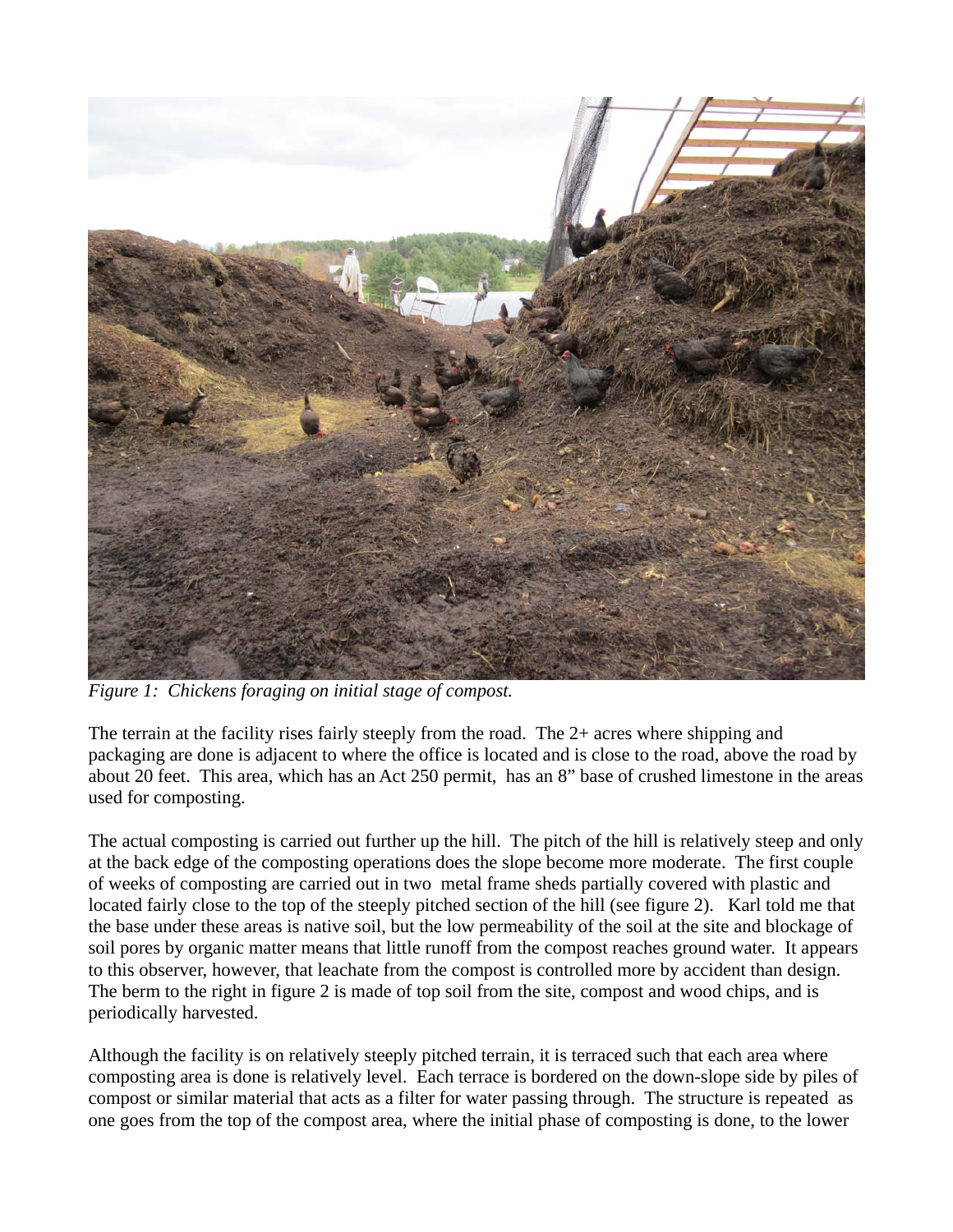

*Figure 1: Chickens foraging on initial stage of compost.*

The terrain at the facility rises fairly steeply from the road. The 2+ acres where shipping and packaging are done is adjacent to where the office is located and is close to the road, above the road by about 20 feet. This area, which has an Act 250 permit, has an 8" base of crushed limestone in the areas used for composting.

The actual composting is carried out further up the hill. The pitch of the hill is relatively steep and only at the back edge of the composting operations does the slope become more moderate. The first couple of weeks of composting are carried out in two metal frame sheds partially covered with plastic and located fairly close to the top of the steeply pitched section of the hill (see figure 2). Karl told me that the base under these areas is native soil, but the low permeability of the soil at the site and blockage of soil pores by organic matter means that little runoff from the compost reaches ground water. It appears to this observer, however, that leachate from the compost is controlled more by accident than design. The berm to the right in figure 2 is made of top soil from the site, compost and wood chips, and is periodically harvested.

Although the facility is on relatively steeply pitched terrain, it is terraced such that each area where composting area is done is relatively level. Each terrace is bordered on the down-slope side by piles of compost or similar material that acts as a filter for water passing through. The structure is repeated as one goes from the top of the compost area, where the initial phase of composting is done, to the lower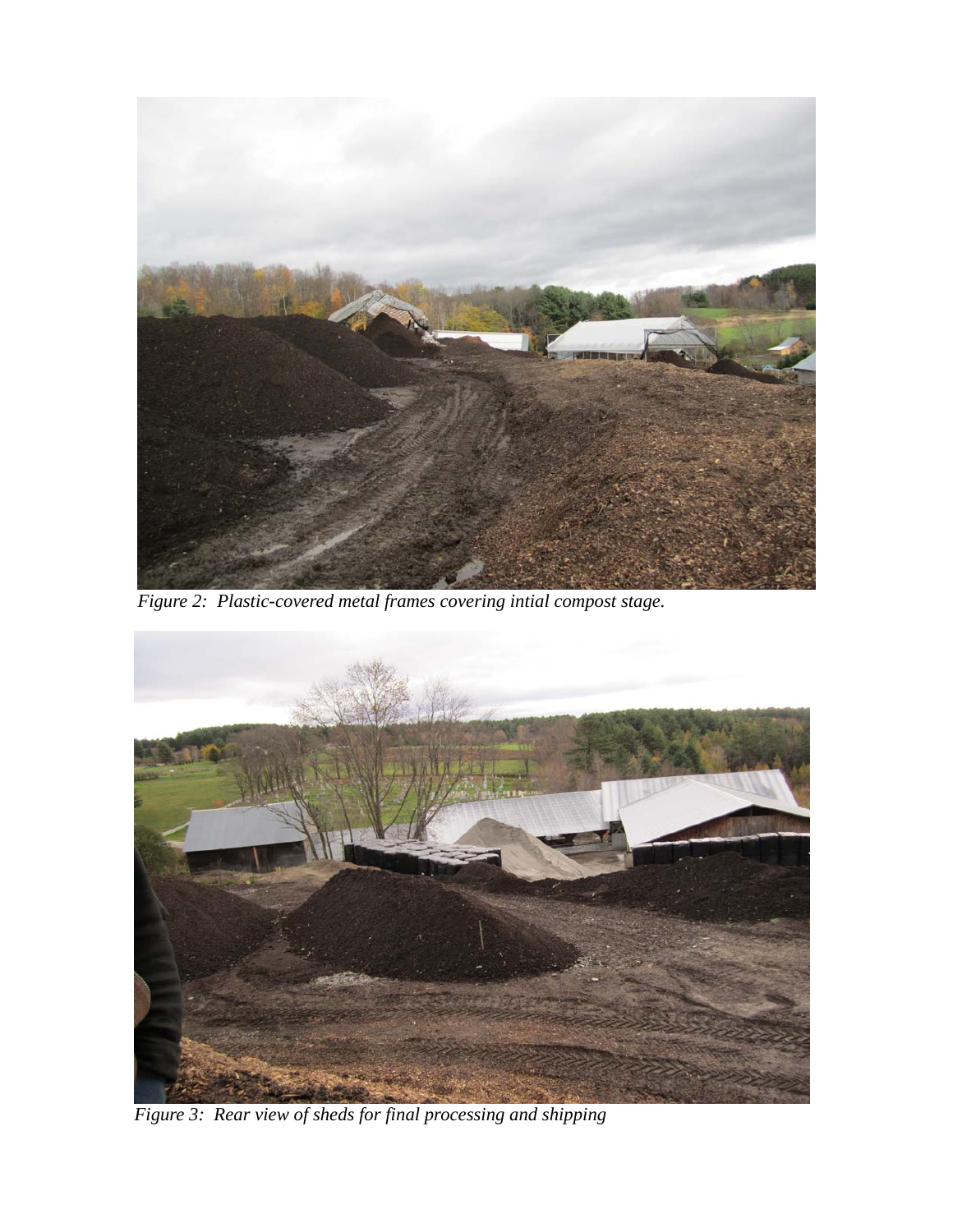

*Figure 2: Plastic-covered metal frames covering intial compost stage.*



*Figure 3: Rear view of sheds for final processing and shipping*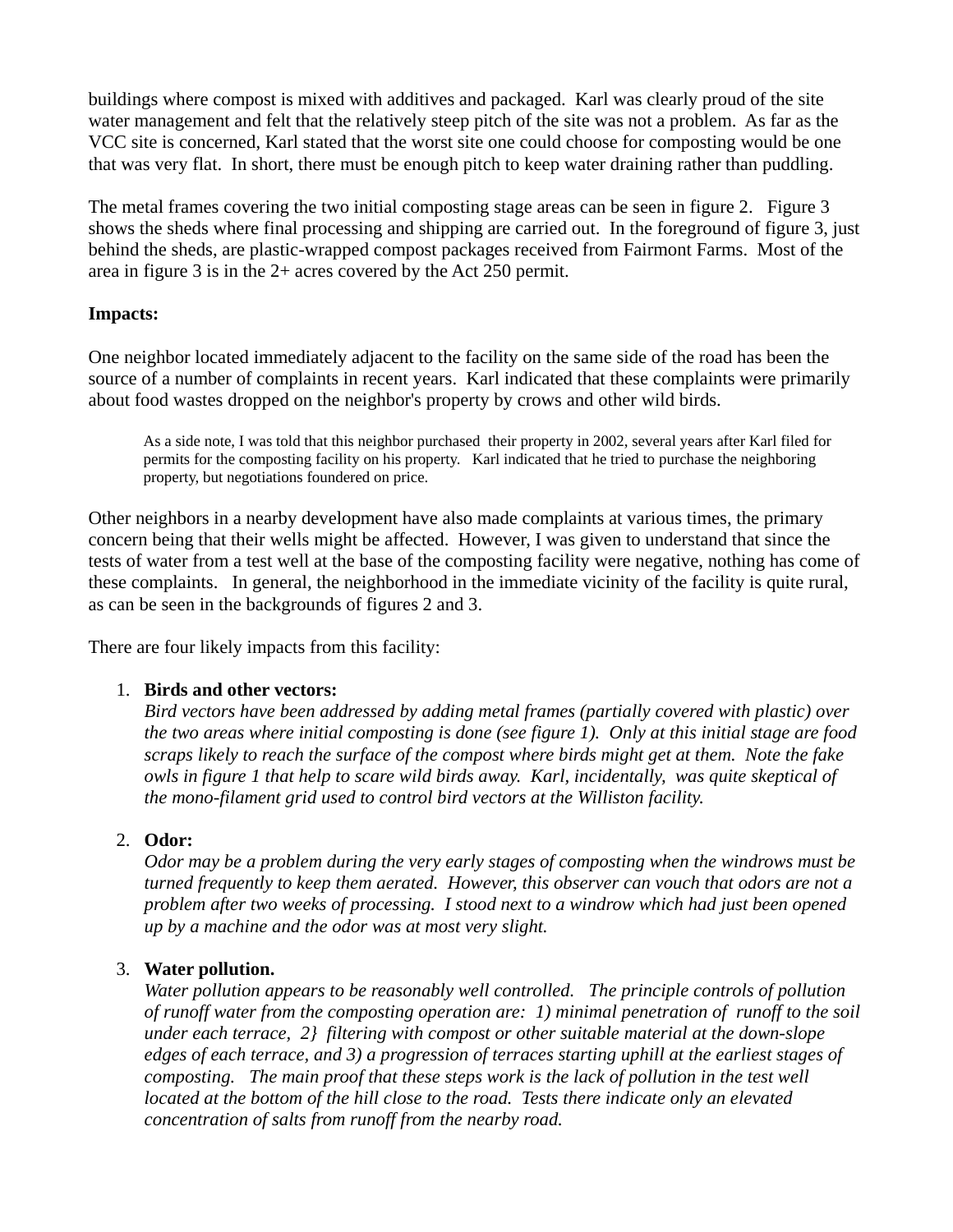buildings where compost is mixed with additives and packaged. Karl was clearly proud of the site water management and felt that the relatively steep pitch of the site was not a problem. As far as the VCC site is concerned, Karl stated that the worst site one could choose for composting would be one that was very flat. In short, there must be enough pitch to keep water draining rather than puddling.

The metal frames covering the two initial composting stage areas can be seen in figure 2. Figure 3 shows the sheds where final processing and shipping are carried out. In the foreground of figure 3, just behind the sheds, are plastic-wrapped compost packages received from Fairmont Farms. Most of the area in figure 3 is in the 2+ acres covered by the Act 250 permit.

## **Impacts:**

One neighbor located immediately adjacent to the facility on the same side of the road has been the source of a number of complaints in recent years. Karl indicated that these complaints were primarily about food wastes dropped on the neighbor's property by crows and other wild birds.

As a side note, I was told that this neighbor purchased their property in 2002, several years after Karl filed for permits for the composting facility on his property. Karl indicated that he tried to purchase the neighboring property, but negotiations foundered on price.

Other neighbors in a nearby development have also made complaints at various times, the primary concern being that their wells might be affected. However, I was given to understand that since the tests of water from a test well at the base of the composting facility were negative, nothing has come of these complaints. In general, the neighborhood in the immediate vicinity of the facility is quite rural, as can be seen in the backgrounds of figures 2 and 3.

There are four likely impacts from this facility:

# 1. **Birds and other vectors:**

*Bird vectors have been addressed by adding metal frames (partially covered with plastic) over the two areas where initial composting is done (see figure 1). Only at this initial stage are food scraps likely to reach the surface of the compost where birds might get at them. Note the fake owls in figure 1 that help to scare wild birds away. Karl, incidentally, was quite skeptical of the mono-filament grid used to control bird vectors at the Williston facility.*

### 2. **Odor:**

*Odor may be a problem during the very early stages of composting when the windrows must be turned frequently to keep them aerated. However, this observer can vouch that odors are not a problem after two weeks of processing. I stood next to a windrow which had just been opened up by a machine and the odor was at most very slight.*

### 3. **Water pollution.**

*Water pollution appears to be reasonably well controlled. The principle controls of pollution of runoff water from the composting operation are: 1) minimal penetration of runoff to the soil under each terrace, 2} filtering with compost or other suitable material at the down-slope edges of each terrace, and 3) a progression of terraces starting uphill at the earliest stages of composting. The main proof that these steps work is the lack of pollution in the test well located at the bottom of the hill close to the road. Tests there indicate only an elevated concentration of salts from runoff from the nearby road.*